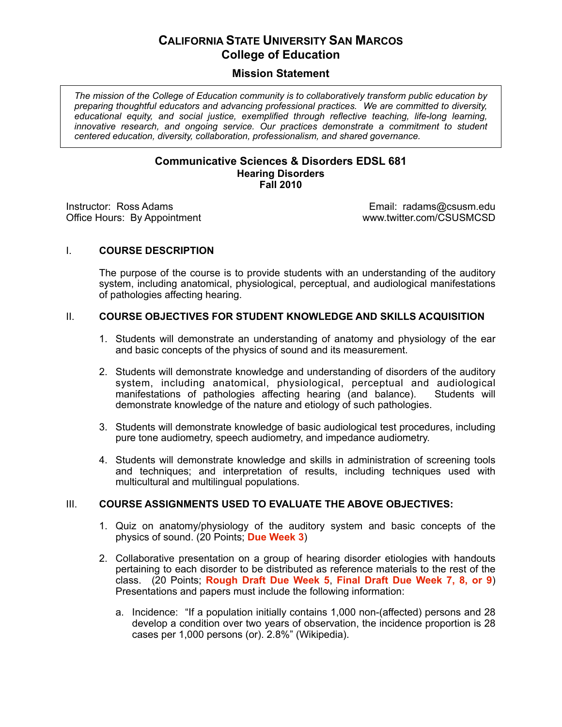# **CALIFORNIA STATE UNIVERSITY SAN MARCOS College of Education**

# **Mission Statement**

*The mission of the College of Education community is to collaboratively transform public education by preparing thoughtful educators and advancing professional practices. We are committed to diversity, educational equity, and social justice, exemplified through reflective teaching, life-long learning,*  innovative research, and ongoing service. Our practices demonstrate a commitment to student *centered education, diversity, collaboration, professionalism, and shared governance.*

#### **Communicative Sciences & Disorders EDSL 681 Hearing Disorders Fall 2010**

Office Hours: By Appointment

Instructor: Ross Adams<br>
Office Hours: By Appointment<br>
Office Hours: By Appointment<br>
Office Hours: By Appointment

#### I. **COURSE DESCRIPTION**

The purpose of the course is to provide students with an understanding of the auditory system, including anatomical, physiological, perceptual, and audiological manifestations of pathologies affecting hearing.

#### II. **COURSE OBJECTIVES FOR STUDENT KNOWLEDGE AND SKILLS ACQUISITION**

- 1. Students will demonstrate an understanding of anatomy and physiology of the ear and basic concepts of the physics of sound and its measurement.
- 2. Students will demonstrate knowledge and understanding of disorders of the auditory system, including anatomical, physiological, perceptual and audiological manifestations of pathologies affecting hearing (and balance). Students will manifestations of pathologies affecting hearing (and balance). demonstrate knowledge of the nature and etiology of such pathologies.
- 3. Students will demonstrate knowledge of basic audiological test procedures, including pure tone audiometry, speech audiometry, and impedance audiometry.
- 4. Students will demonstrate knowledge and skills in administration of screening tools and techniques; and interpretation of results, including techniques used with multicultural and multilingual populations.

#### III. **COURSE ASSIGNMENTS USED TO EVALUATE THE ABOVE OBJECTIVES:**

- 1. Quiz on anatomy/physiology of the auditory system and basic concepts of the physics of sound. (20 Points; **Due Week 3**)
- 2. Collaborative presentation on a group of hearing disorder etiologies with handouts pertaining to each disorder to be distributed as reference materials to the rest of the class. (20 Points; **Rough Draft Due Week 5**, **Final Draft Due Week 7, 8, or 9**) Presentations and papers must include the following information:
	- a. Incidence: "If a population initially contains 1,000 non-(affected) persons and 28 develop a condition over two years of observation, the incidence proportion is 28 cases per 1,000 persons (or). 2.8%" (Wikipedia).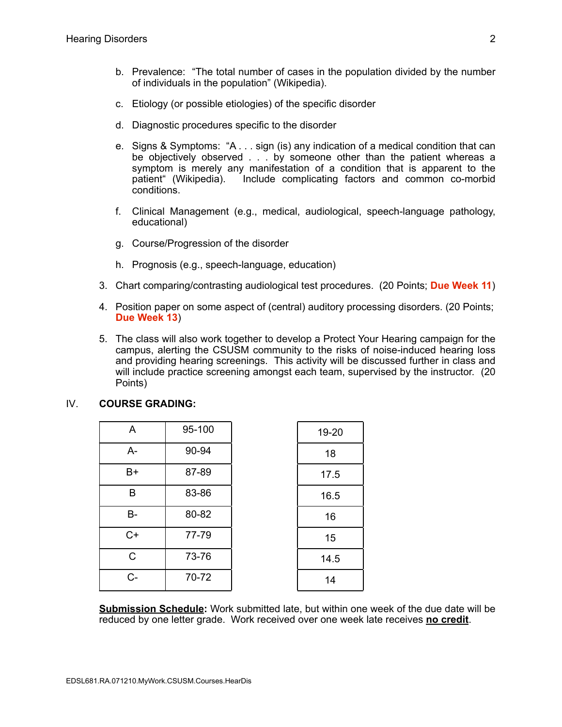- b. Prevalence: "The total number of cases in the population divided by the number of individuals in the population" (Wikipedia).
- c. Etiology (or possible etiologies) of the specific disorder
- d. Diagnostic procedures specific to the disorder
- e. Signs & Symptoms: "A . . . sign (is) any indication of a medical condition that can be objectively observed . . . by someone other than the patient whereas a symptom is merely any manifestation of a condition that is apparent to the patient" (Wikipedia). Include complicating factors and common co-morbid conditions.
- f. Clinical Management (e.g., medical, audiological, speech-language pathology, educational)
- g. Course/Progression of the disorder
- h. Prognosis (e.g., speech-language, education)
- 3. Chart comparing/contrasting audiological test procedures. (20 Points; **Due Week 11**)
- 4. Position paper on some aspect of (central) auditory processing disorders. (20 Points; **Due Week 13**)
- 5. The class will also work together to develop a Protect Your Hearing campaign for the campus, alerting the CSUSM community to the risks of noise-induced hearing loss and providing hearing screenings. This activity will be discussed further in class and will include practice screening amongst each team, supervised by the instructor. (20 Points)

## IV. **COURSE GRADING:**

| A            | 95-100 | 19-20 |
|--------------|--------|-------|
| $A -$        | 90-94  | 18    |
| B+           | 87-89  | 17.5  |
| B            | 83-86  | 16.5  |
| B-           | 80-82  | 16    |
| $C+$         | 77-79  | 15    |
| $\mathsf{C}$ | 73-76  | 14.5  |
| C-           | 70-72  | 14    |

**Submission Schedule:** Work submitted late, but within one week of the due date will be reduced by one letter grade. Work received over one week late receives **no credit**.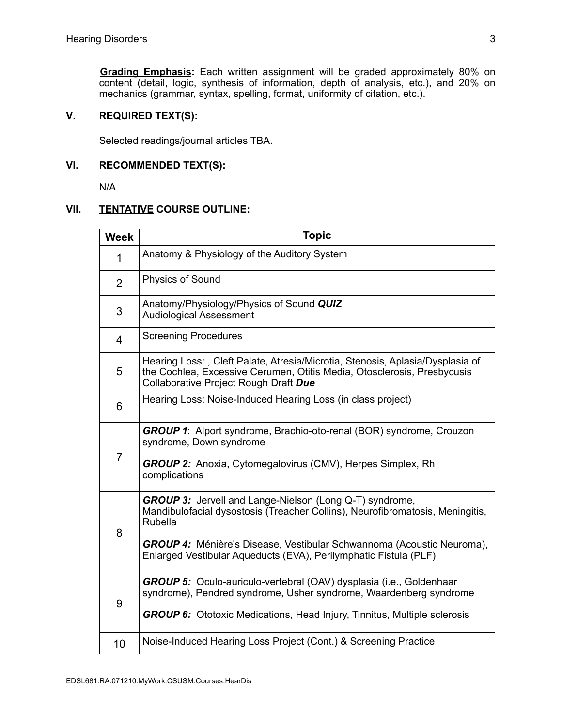**Grading Emphasis:** Each written assignment will be graded approximately 80% on content (detail, logic, synthesis of information, depth of analysis, etc.), and 20% on mechanics (grammar, syntax, spelling, format, uniformity of citation, etc.).

# **V. REQUIRED TEXT(S):**

Selected readings/journal articles TBA.

# **VI. RECOMMENDED TEXT(S):**

N/A

## **VII. TENTATIVE COURSE OUTLINE:**

| <b>Week</b>    | <b>Topic</b>                                                                                                                                                                                                                                                                                            |  |  |  |
|----------------|---------------------------------------------------------------------------------------------------------------------------------------------------------------------------------------------------------------------------------------------------------------------------------------------------------|--|--|--|
| 1              | Anatomy & Physiology of the Auditory System                                                                                                                                                                                                                                                             |  |  |  |
| $\overline{2}$ | <b>Physics of Sound</b>                                                                                                                                                                                                                                                                                 |  |  |  |
| 3              | Anatomy/Physiology/Physics of Sound QUIZ<br><b>Audiological Assessment</b>                                                                                                                                                                                                                              |  |  |  |
| 4              | <b>Screening Procedures</b>                                                                                                                                                                                                                                                                             |  |  |  |
| 5              | Hearing Loss:, Cleft Palate, Atresia/Microtia, Stenosis, Aplasia/Dysplasia of<br>the Cochlea, Excessive Cerumen, Otitis Media, Otosclerosis, Presbycusis<br>Collaborative Project Rough Draft Due                                                                                                       |  |  |  |
| 6              | Hearing Loss: Noise-Induced Hearing Loss (in class project)                                                                                                                                                                                                                                             |  |  |  |
| $\overline{7}$ | <b>GROUP 1:</b> Alport syndrome, Brachio-oto-renal (BOR) syndrome, Crouzon<br>syndrome, Down syndrome<br>GROUP 2: Anoxia, Cytomegalovirus (CMV), Herpes Simplex, Rh<br>complications                                                                                                                    |  |  |  |
| 8              | GROUP 3: Jervell and Lange-Nielson (Long Q-T) syndrome,<br>Mandibulofacial dysostosis (Treacher Collins), Neurofibromatosis, Meningitis,<br>Rubella<br><b>GROUP 4:</b> Ménière's Disease, Vestibular Schwannoma (Acoustic Neuroma),<br>Enlarged Vestibular Aqueducts (EVA), Perilymphatic Fistula (PLF) |  |  |  |
|                | <b>GROUP 5:</b> Oculo-auriculo-vertebral (OAV) dysplasia (i.e., Goldenhaar                                                                                                                                                                                                                              |  |  |  |
| 9              | syndrome), Pendred syndrome, Usher syndrome, Waardenberg syndrome<br><b>GROUP 6:</b> Ototoxic Medications, Head Injury, Tinnitus, Multiple sclerosis                                                                                                                                                    |  |  |  |
| 10             | Noise-Induced Hearing Loss Project (Cont.) & Screening Practice                                                                                                                                                                                                                                         |  |  |  |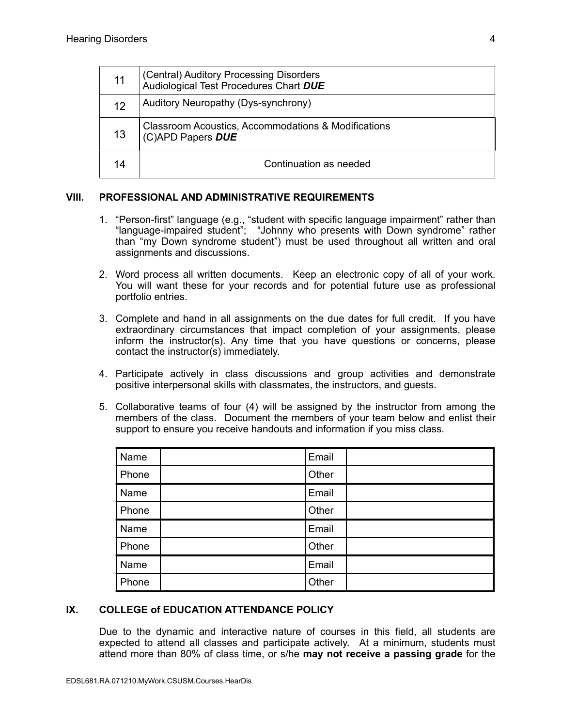| 11 | (Central) Auditory Processing Disorders<br>Audiological Test Procedures Chart DUE |  |
|----|-----------------------------------------------------------------------------------|--|
| 12 | Auditory Neuropathy (Dys-synchrony)                                               |  |
| 13 | Classroom Acoustics, Accommodations & Modifications<br>(C)APD Papers DUE          |  |
| 14 | Continuation as needed                                                            |  |

#### **VIII. PROFESSIONAL AND ADMINISTRATIVE REQUIREMENTS**

- 1. "Person-first" language (e.g., "student with specific language impairment" rather than "language-impaired student"; "Johnny who presents with Down syndrome" rather than "my Down syndrome student") must be used throughout all written and oral assignments and discussions.
- 2. Word process all written documents. Keep an electronic copy of all of your work. You will want these for your records and for potential future use as professional portfolio entries.
- 3. Complete and hand in all assignments on the due dates for full credit. If you have extraordinary circumstances that impact completion of your assignments, please inform the instructor(s). Any time that you have questions or concerns, please contact the instructor(s) immediately.
- 4. Participate actively in class discussions and group activities and demonstrate positive interpersonal skills with classmates, the instructors, and guests.
- 5. Collaborative teams of four (4) will be assigned by the instructor from among the members of the class. Document the members of your team below and enlist their support to ensure you receive handouts and information if you miss class.

| Name  | Email |  |
|-------|-------|--|
| Phone | Other |  |
| Name  | Email |  |
| Phone | Other |  |
| Name  | Email |  |
| Phone | Other |  |
| Name  | Email |  |
| Phone | Other |  |

## **IX. COLLEGE of EDUCATION ATTENDANCE POLICY**

Due to the dynamic and interactive nature of courses in this field, all students are expected to attend all classes and participate actively. At a minimum, students must attend more than 80% of class time, or s/he **may not receive a passing grade** for the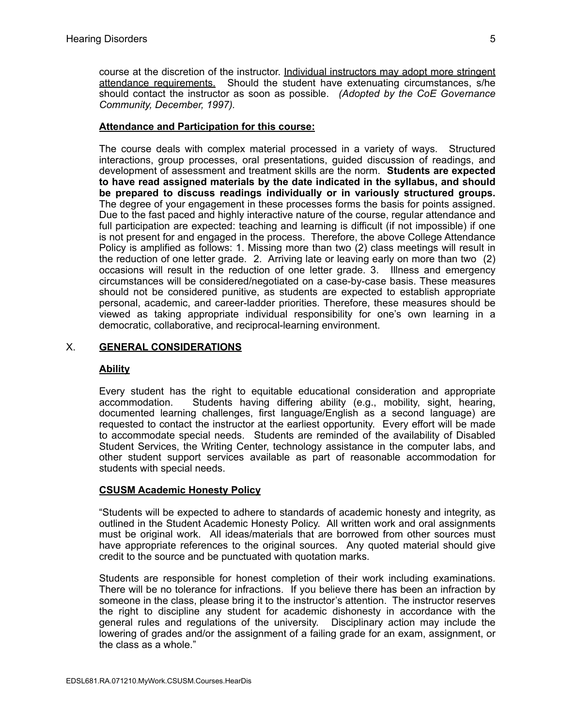course at the discretion of the instructor. Individual instructors may adopt more stringent attendance requirements. Should the student have extenuating circumstances, s/he should contact the instructor as soon as possible. *(Adopted by the CoE Governance Community, December, 1997).*

## **Attendance and Participation for this course:**

The course deals with complex material processed in a variety of ways. Structured interactions, group processes, oral presentations, guided discussion of readings, and development of assessment and treatment skills are the norm. **Students are expected to have read assigned materials by the date indicated in the syllabus, and should be prepared to discuss readings individually or in variously structured groups.** The degree of your engagement in these processes forms the basis for points assigned. Due to the fast paced and highly interactive nature of the course, regular attendance and full participation are expected: teaching and learning is difficult (if not impossible) if one is not present for and engaged in the process. Therefore, the above College Attendance Policy is amplified as follows: 1. Missing more than two (2) class meetings will result in the reduction of one letter grade. 2. Arriving late or leaving early on more than two (2) occasions will result in the reduction of one letter grade. 3. Illness and emergency circumstances will be considered/negotiated on a case-by-case basis. These measures should not be considered punitive, as students are expected to establish appropriate personal, academic, and career-ladder priorities. Therefore, these measures should be viewed as taking appropriate individual responsibility for one's own learning in a democratic, collaborative, and reciprocal-learning environment.

# X. **GENERAL CONSIDERATIONS**

## **Ability**

Every student has the right to equitable educational consideration and appropriate accommodation. Students having differing ability (e.g., mobility, sight, hearing, documented learning challenges, first language/English as a second language) are requested to contact the instructor at the earliest opportunity. Every effort will be made to accommodate special needs. Students are reminded of the availability of Disabled Student Services, the Writing Center, technology assistance in the computer labs, and other student support services available as part of reasonable accommodation for students with special needs.

## **CSUSM Academic Honesty Policy**

"Students will be expected to adhere to standards of academic honesty and integrity, as outlined in the Student Academic Honesty Policy. All written work and oral assignments must be original work. All ideas/materials that are borrowed from other sources must have appropriate references to the original sources. Any quoted material should give credit to the source and be punctuated with quotation marks.

Students are responsible for honest completion of their work including examinations. There will be no tolerance for infractions. If you believe there has been an infraction by someone in the class, please bring it to the instructor's attention. The instructor reserves the right to discipline any student for academic dishonesty in accordance with the general rules and regulations of the university. Disciplinary action may include the lowering of grades and/or the assignment of a failing grade for an exam, assignment, or the class as a whole."